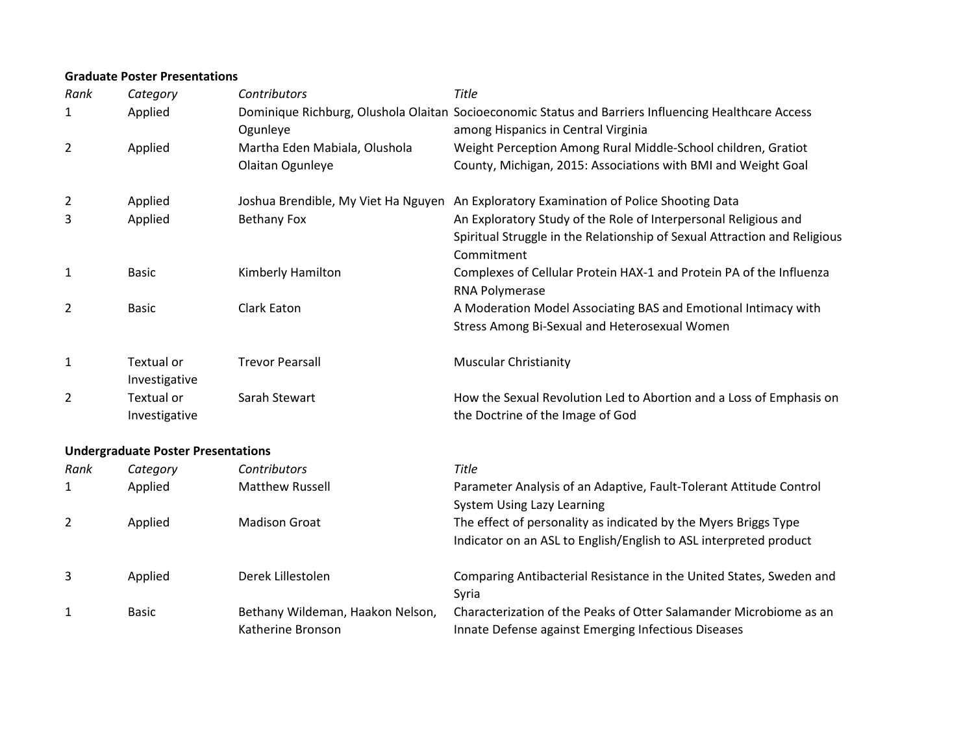#### **Graduate Poster Presentations**

| Category                    | Contributors                        | Title                                                                                                                                       |
|-----------------------------|-------------------------------------|---------------------------------------------------------------------------------------------------------------------------------------------|
| Applied                     | Ogunleye                            | Dominique Richburg, Olushola Olaitan Socioeconomic Status and Barriers Influencing Healthcare Access<br>among Hispanics in Central Virginia |
| Applied                     | Martha Eden Mabiala, Olushola       | Weight Perception Among Rural Middle-School children, Gratiot                                                                               |
|                             | Olaitan Ogunleye                    | County, Michigan, 2015: Associations with BMI and Weight Goal                                                                               |
| Applied                     | Joshua Brendible, My Viet Ha Nguyen | An Exploratory Examination of Police Shooting Data                                                                                          |
| Applied                     | <b>Bethany Fox</b>                  | An Exploratory Study of the Role of Interpersonal Religious and                                                                             |
|                             |                                     | Spiritual Struggle in the Relationship of Sexual Attraction and Religious                                                                   |
|                             |                                     | Commitment                                                                                                                                  |
| <b>Basic</b>                | Kimberly Hamilton                   | Complexes of Cellular Protein HAX-1 and Protein PA of the Influenza<br>RNA Polymerase                                                       |
| <b>Basic</b>                | Clark Eaton                         | A Moderation Model Associating BAS and Emotional Intimacy with                                                                              |
|                             |                                     | Stress Among Bi-Sexual and Heterosexual Women                                                                                               |
| Textual or<br>Investigative | <b>Trevor Pearsall</b>              | <b>Muscular Christianity</b>                                                                                                                |
| Textual or<br>Investigative | Sarah Stewart                       | How the Sexual Revolution Led to Abortion and a Loss of Emphasis on<br>the Doctrine of the Image of God                                     |
|                             |                                     |                                                                                                                                             |

# **Undergraduate Poster Presentations**

| Rank | Category     | <b>Contributors</b>                                   | Title                                                                                                                     |
|------|--------------|-------------------------------------------------------|---------------------------------------------------------------------------------------------------------------------------|
| 1    | Applied      | <b>Matthew Russell</b>                                | Parameter Analysis of an Adaptive, Fault-Tolerant Attitude Control                                                        |
|      |              |                                                       | System Using Lazy Learning                                                                                                |
| 2    | Applied      | <b>Madison Groat</b>                                  | The effect of personality as indicated by the Myers Briggs Type                                                           |
|      |              |                                                       | Indicator on an ASL to English/English to ASL interpreted product                                                         |
| 3    | Applied      | Derek Lillestolen                                     | Comparing Antibacterial Resistance in the United States, Sweden and<br>Syria                                              |
| 1    | <b>Basic</b> | Bethany Wildeman, Haakon Nelson,<br>Katherine Bronson | Characterization of the Peaks of Otter Salamander Microbiome as an<br>Innate Defense against Emerging Infectious Diseases |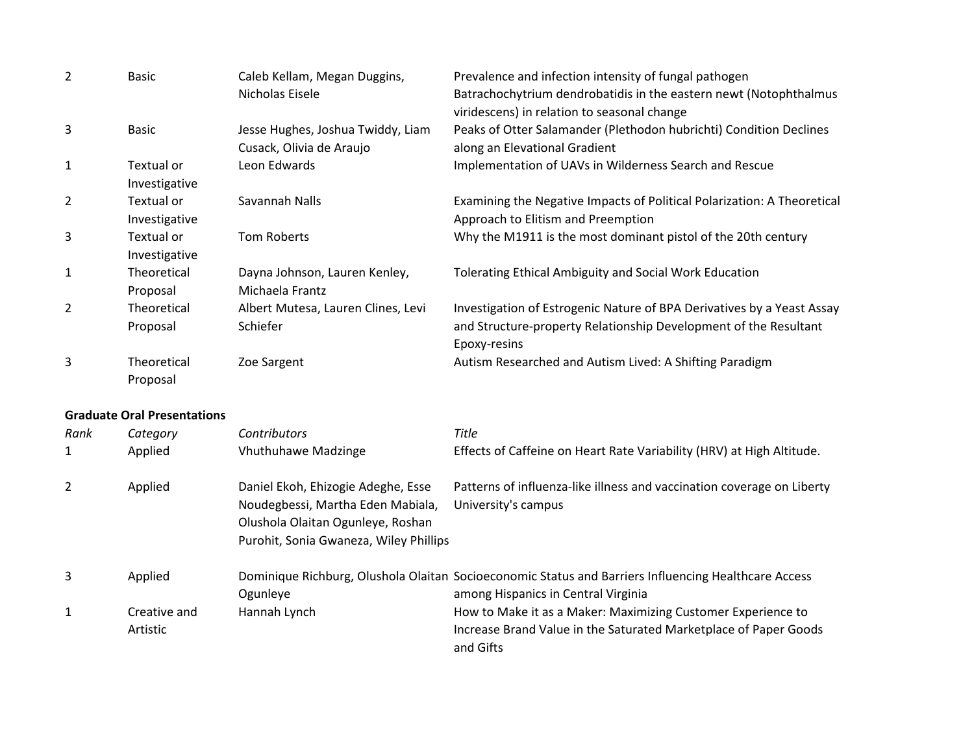| $\overline{2}$ | <b>Basic</b>                       | Caleb Kellam, Megan Duggins,<br>Nicholas Eisele                                                                                                        | Prevalence and infection intensity of fungal pathogen<br>Batrachochytrium dendrobatidis in the eastern newt (Notophthalmus<br>viridescens) in relation to seasonal change |
|----------------|------------------------------------|--------------------------------------------------------------------------------------------------------------------------------------------------------|---------------------------------------------------------------------------------------------------------------------------------------------------------------------------|
| 3              | <b>Basic</b>                       | Jesse Hughes, Joshua Twiddy, Liam<br>Cusack, Olivia de Araujo                                                                                          | Peaks of Otter Salamander (Plethodon hubrichti) Condition Declines<br>along an Elevational Gradient                                                                       |
| 1              | Textual or<br>Investigative        | Leon Edwards                                                                                                                                           | Implementation of UAVs in Wilderness Search and Rescue                                                                                                                    |
| 2              | Textual or<br>Investigative        | Savannah Nalls                                                                                                                                         | Examining the Negative Impacts of Political Polarization: A Theoretical<br>Approach to Elitism and Preemption                                                             |
| 3              | Textual or<br>Investigative        | <b>Tom Roberts</b>                                                                                                                                     | Why the M1911 is the most dominant pistol of the 20th century                                                                                                             |
| 1              | Theoretical<br>Proposal            | Dayna Johnson, Lauren Kenley,<br>Michaela Frantz                                                                                                       | <b>Tolerating Ethical Ambiguity and Social Work Education</b>                                                                                                             |
| 2              | Theoretical<br>Proposal            | Albert Mutesa, Lauren Clines, Levi<br>Schiefer                                                                                                         | Investigation of Estrogenic Nature of BPA Derivatives by a Yeast Assay<br>and Structure-property Relationship Development of the Resultant<br>Epoxy-resins                |
| 3              | Theoretical<br>Proposal            | Zoe Sargent                                                                                                                                            | Autism Researched and Autism Lived: A Shifting Paradigm                                                                                                                   |
|                | <b>Graduate Oral Presentations</b> |                                                                                                                                                        |                                                                                                                                                                           |
| Rank           | Category                           | Contributors                                                                                                                                           | Title                                                                                                                                                                     |
| 1              | Applied                            | <b>Vhuthuhawe Madzinge</b>                                                                                                                             | Effects of Caffeine on Heart Rate Variability (HRV) at High Altitude.                                                                                                     |
| 2              | Applied                            | Daniel Ekoh, Ehizogie Adeghe, Esse<br>Noudegbessi, Martha Eden Mabiala,<br>Olushola Olaitan Ogunleye, Roshan<br>Purohit, Sonia Gwaneza, Wiley Phillips | Patterns of influenza-like illness and vaccination coverage on Liberty<br>University's campus                                                                             |
| 3              | Applied                            | Ogunleye                                                                                                                                               | Dominique Richburg, Olushola Olaitan Socioeconomic Status and Barriers Influencing Healthcare Access<br>among Hispanics in Central Virginia                               |
| 1              | Creative and<br>Artistic           | Hannah Lynch                                                                                                                                           | How to Make it as a Maker: Maximizing Customer Experience to<br>Increase Brand Value in the Saturated Marketplace of Paper Goods<br>and Gifts                             |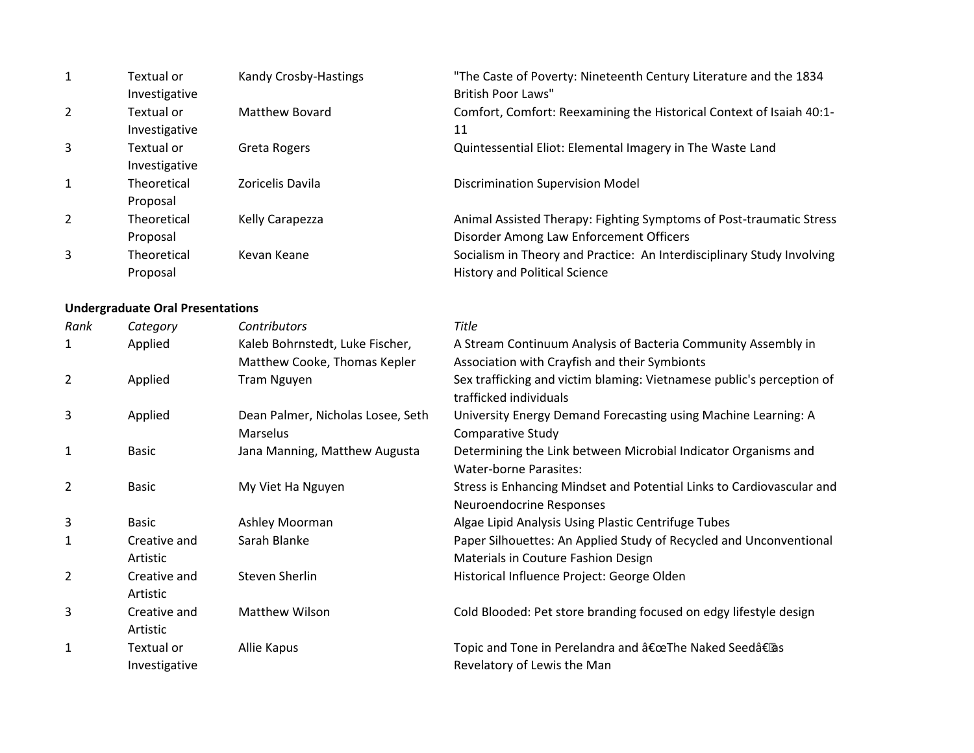| 1              | Textual or<br>Investigative | Kandy Crosby-Hastings | "The Caste of Poverty: Nineteenth Century Literature and the 1834<br><b>British Poor Laws"</b>                 |
|----------------|-----------------------------|-----------------------|----------------------------------------------------------------------------------------------------------------|
| $\overline{2}$ | Textual or<br>Investigative | Matthew Bovard        | Comfort, Comfort: Reexamining the Historical Context of Isaiah 40:1-<br>11                                     |
| 3              | Textual or<br>Investigative | Greta Rogers          | Quintessential Eliot: Elemental Imagery in The Waste Land                                                      |
| $\mathbf{1}$   | Theoretical<br>Proposal     | Zoricelis Davila      | <b>Discrimination Supervision Model</b>                                                                        |
| $\overline{2}$ | Theoretical<br>Proposal     | Kelly Carapezza       | Animal Assisted Therapy: Fighting Symptoms of Post-traumatic Stress<br>Disorder Among Law Enforcement Officers |
| 3              | Theoretical<br>Proposal     | Kevan Keane           | Socialism in Theory and Practice: An Interdisciplinary Study Involving<br><b>History and Political Science</b> |

#### **Undergraduate Oral Presentations**

| Rank           | Category                    | <b>Contributors</b>               | <b>Title</b>                                                                                      |
|----------------|-----------------------------|-----------------------------------|---------------------------------------------------------------------------------------------------|
| 1              | Applied                     | Kaleb Bohrnstedt, Luke Fischer,   | A Stream Continuum Analysis of Bacteria Community Assembly in                                     |
|                |                             | Matthew Cooke, Thomas Kepler      | Association with Crayfish and their Symbionts                                                     |
| $\overline{2}$ | Applied                     | <b>Tram Nguyen</b>                | Sex trafficking and victim blaming: Vietnamese public's perception of<br>trafficked individuals   |
| 3              | Applied                     | Dean Palmer, Nicholas Losee, Seth | University Energy Demand Forecasting using Machine Learning: A                                    |
|                |                             | Marselus                          | <b>Comparative Study</b>                                                                          |
| 1              | Basic                       | Jana Manning, Matthew Augusta     | Determining the Link between Microbial Indicator Organisms and<br><b>Water-borne Parasites:</b>   |
| 2              | <b>Basic</b>                | My Viet Ha Nguyen                 | Stress is Enhancing Mindset and Potential Links to Cardiovascular and<br>Neuroendocrine Responses |
| 3              | <b>Basic</b>                | Ashley Moorman                    | Algae Lipid Analysis Using Plastic Centrifuge Tubes                                               |
| 1              | Creative and                | Sarah Blanke                      | Paper Silhouettes: An Applied Study of Recycled and Unconventional                                |
|                | Artistic                    |                                   | Materials in Couture Fashion Design                                                               |
| 2              | Creative and<br>Artistic    | Steven Sherlin                    | Historical Influence Project: George Olden                                                        |
| 3              | Creative and<br>Artistic    | <b>Matthew Wilson</b>             | Cold Blooded: Pet store branding focused on edgy lifestyle design                                 |
| 1              | Textual or<br>Investigative | Allie Kapus                       | Topic and Tone in Perelandra and "The Naked Seed†as<br>Revelatory of Lewis the Man                |